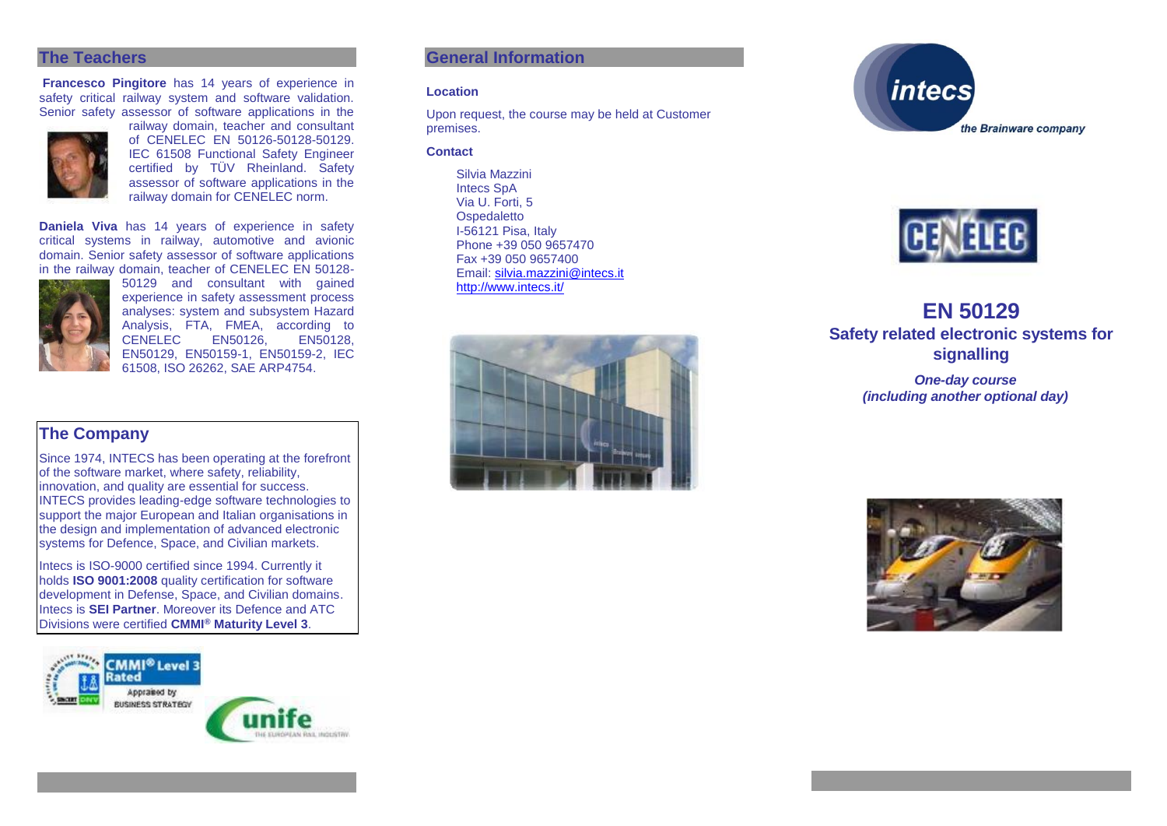#### **The Teachers**

**Francesco Pingitore** has 14 years of experience in safety critical railway system and software validation. Senior safety assessor of software applications in the



of CENELEC EN 50126-50128-50129. IEC 61508 Functional Safety Engineer certified by TÜV Rheinland. Safety assessor of software applications in the railway domain for CENELEC norm.

railway domain, teacher and consultant

**Daniela Viva** has 14 years of experience in safety critical systems in railway, automotive and avionic domain. Senior safety assessor of software applications in the railway domain, teacher of CENELEC EN 50128-



50129 and consultant with gained experience in safety assessment process analyses: system and subsystem Hazard Analysis, FTA, FMEA, according to CENELEC<sub>1</sub> EN50129, EN50159-1, EN50159-2, IEC 61508, ISO 26262, SAE ARP4754.

## **The Company**

Since 1974, INTECS has been operating at the forefront of the software market, where safety, reliability, innovation, and quality are essential for success. INTECS provides leading-edge software technologies to support the major European and Italian organisations in the design and implementation of advanced electronic systems for Defence, Space, and Civilian markets.

Intecs is ISO-9000 certified since 1994. Currently it holds **ISO 9001:2008** quality certification for software development in Defense, Space, and Civilian domains. Intecs is **SEI Partner**. Moreover its Defence and ATC Divisions were certified **CMMI® Maturity Level 3**.





#### **Location**

Upon request, the course may be held at Customer premises.

#### **Contact**

Silvia Mazzini Intecs SpA Via U. Forti, 5 **Ospedaletto** I-56121 Pisa, Italy Phone +39 050 9657470 Fax +39 050 9657400 Email: [silvia.mazzini@intecs.it](mailto:andrea.musone@intecs.it) <http://www.intecs.it/>







# **EN 50129 Safety related electronic systems for signalling**

*One-day course (including another optional day)*